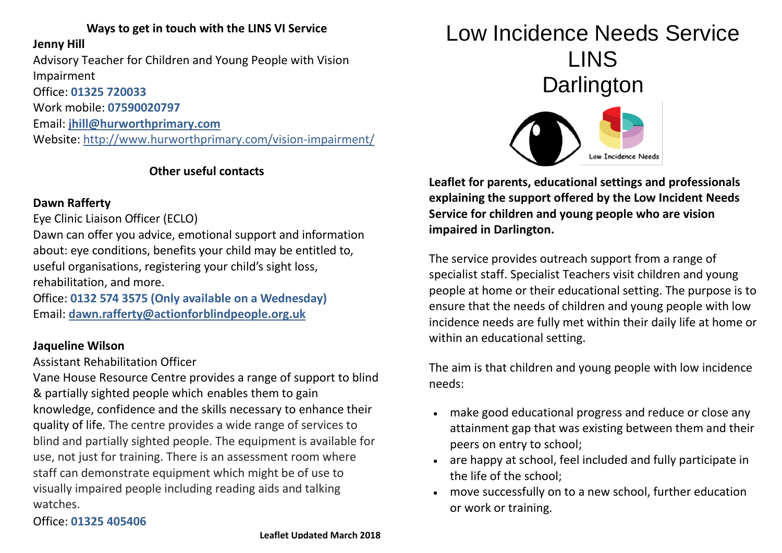## **Ways to get in touch with the LINS VI Service**

### **Jenny Hill**

Advisory Teacher for Children and Young People with Vision Impairment Office: **01325 720033** 

Work mobile: **07590020797**

Email: **[jhill@hurworthprimary.com](mailto:jhill@hurworthprimary.com)**

Website: http://www.hurworthprimary.com/vision-impairment/

## **Other useful contacts**

## **Dawn Rafferty**

Eye Clinic Liaison Officer (ECLO)

Dawn can offer you advice, emotional support and information about: eye conditions, benefits your child may be entitled to, useful organisations, registering your child's sight loss, rehabilitation, and more.

Office: **0132 574 3575 (Only available on a Wednesday)** Email: **[dawn.rafferty@actionforblindpeople.org.uk](mailto:dawn.rafferty@actionforblindpeople.org.uk)**

## **Jaqueline Wilson**

Assistant Rehabilitation Officer

Vane House Resource Centre provides a range of support to blind & partially sighted people which enables them to gain knowledge, confidence and the skills necessary to enhance their quality of life. The centre provides a wide range of services to blind and partially sighted people. The equipment is available for use, not just for training. There is an assessment room where staff can demonstrate equipment which might be of use to visually impaired people including reading aids and talking watches.

## Office: **01325 405406**

# Low Incidence Needs Service LINS **Darlington**



**Leaflet for parents, educational settings and professionals explaining the support offered by the Low Incident Needs Service for children and young people who are vision impaired in Darlington.**

The service provides outreach support from a range of specialist staff. Specialist Teachers visit children and young people at home or their educational setting. The purpose is to ensure that the needs of children and young people with low incidence needs are fully met within their daily life at home or within an educational setting.

The aim is that children and young people with low incidence needs:

- make good educational progress and reduce or close any attainment gap that was existing between them and their peers on entry to school;
- are happy at school, feel included and fully participate in the life of the school;
- move successfully on to a new school, further education or work or training.